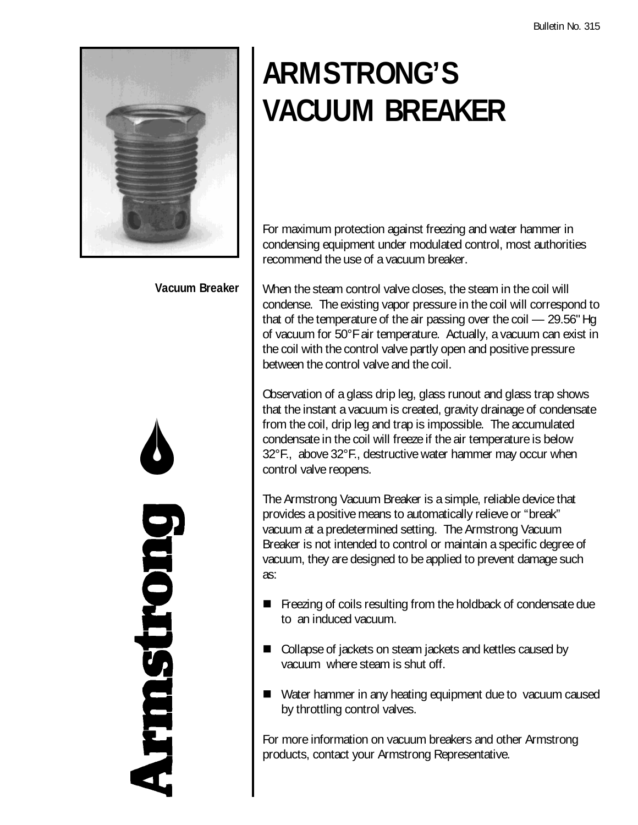

## **Vacuum Breaker**

puonstmak

## **ARMSTRONG'S VACUUM BREAKER**

For maximum protection against freezing and water hammer in condensing equipment under modulated control, most authorities recommend the use of a vacuum breaker.

When the steam control valve closes, the steam in the coil will condense. The existing vapor pressure in the coil will correspond to that of the temperature of the air passing over the coil — 29.56" Hg of vacuum for 50°F air temperature. Actually, a vacuum can exist in the coil with the control valve partly open and positive pressure between the control valve and the coil.

Observation of a glass drip leg, glass runout and glass trap shows that the instant a vacuum is created, gravity drainage of condensate from the coil, drip leg and trap is impossible. The accumulated condensate in the coil will freeze if the air temperature is below 32°F., above 32°F., destructive water hammer may occur when control valve reopens.

The Armstrong Vacuum Breaker is a simple, reliable device that provides a positive means to automatically relieve or "break" vacuum at a predetermined setting. The Armstrong Vacuum Breaker is not intended to control or maintain a specific degree of vacuum, they are designed to be applied to prevent damage such as:

- $\blacksquare$  Freezing of coils resulting from the holdback of condensate due to an induced vacuum.
- Collapse of jackets on steam jackets and kettles caused by vacuum where steam is shut off.
- $\blacksquare$  Water hammer in any heating equipment due to vacuum caused by throttling control valves.

For more information on vacuum breakers and other Armstrong products, contact your Armstrong Representative.